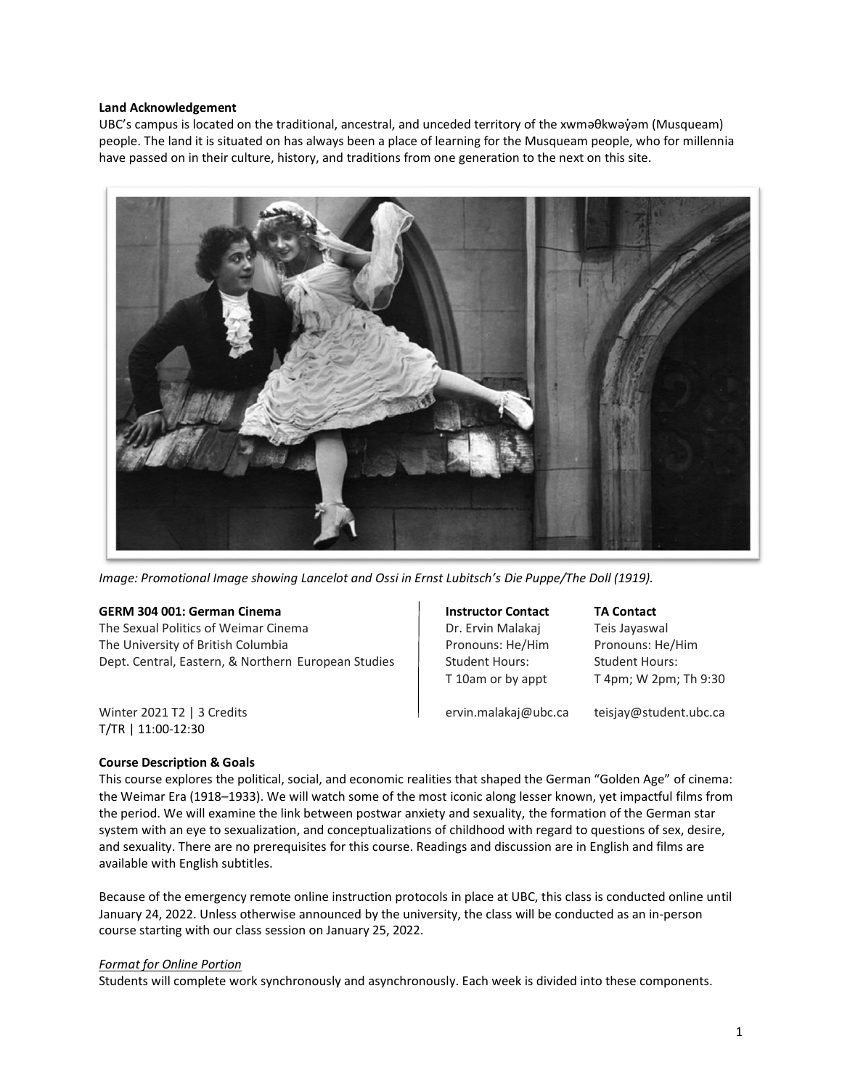#### **Land Acknowledgement**

UBC's campus is located on the traditional, ancestral, and unceded territory of the xwməθkwəy̓əm (Musqueam) people. The land it is situated on has always been a place of learning for the Musqueam people, who for millennia have passed on in their culture, history, and traditions from one generation to the next on this site.



*Image: Promotional Image showing Lancelot and Ossi in Ernst Lubitsch's Die Puppe/The Doll (1919).*

#### **GERM 304 001: German Cinema Instructor Contact TA Contact**

The Sexual Politics of Weimar Cinema **Dr. Ervin Malakaj** Teis Jayaswal The University of British Columbia **Pronouns: He/Him Pronouns: He/Him** Pronouns: He/Him Dept. Central, Eastern, & Northern European Studies | Student Hours: Student Hours:

 $T$  10am or by appt  $T$  4pm; W 2pm; Th 9:30

Winter 2021 T2 | 3 Credits ervin.malakaj@ubc.ca teisjay@student.ubc.ca T/TR | 11:00-12:30

# **Course Description & Goals**

This course explores the political, social, and economic realities that shaped the German "Golden Age" of cinema: the Weimar Era (1918–1933). We will watch some of the most iconic along lesser known, yet impactful films from the period. We will examine the link between postwar anxiety and sexuality, the formation of the German star system with an eye to sexualization, and conceptualizations of childhood with regard to questions of sex, desire, and sexuality. There are no prerequisites for this course. Readings and discussion are in English and films are available with English subtitles.

Because of the emergency remote online instruction protocols in place at UBC, this class is conducted online until January 24, 2022. Unless otherwise announced by the university, the class will be conducted as an in-person course starting with our class session on January 25, 2022.

# *Format for Online Portion*

Students will complete work synchronously and asynchronously. Each week is divided into these components.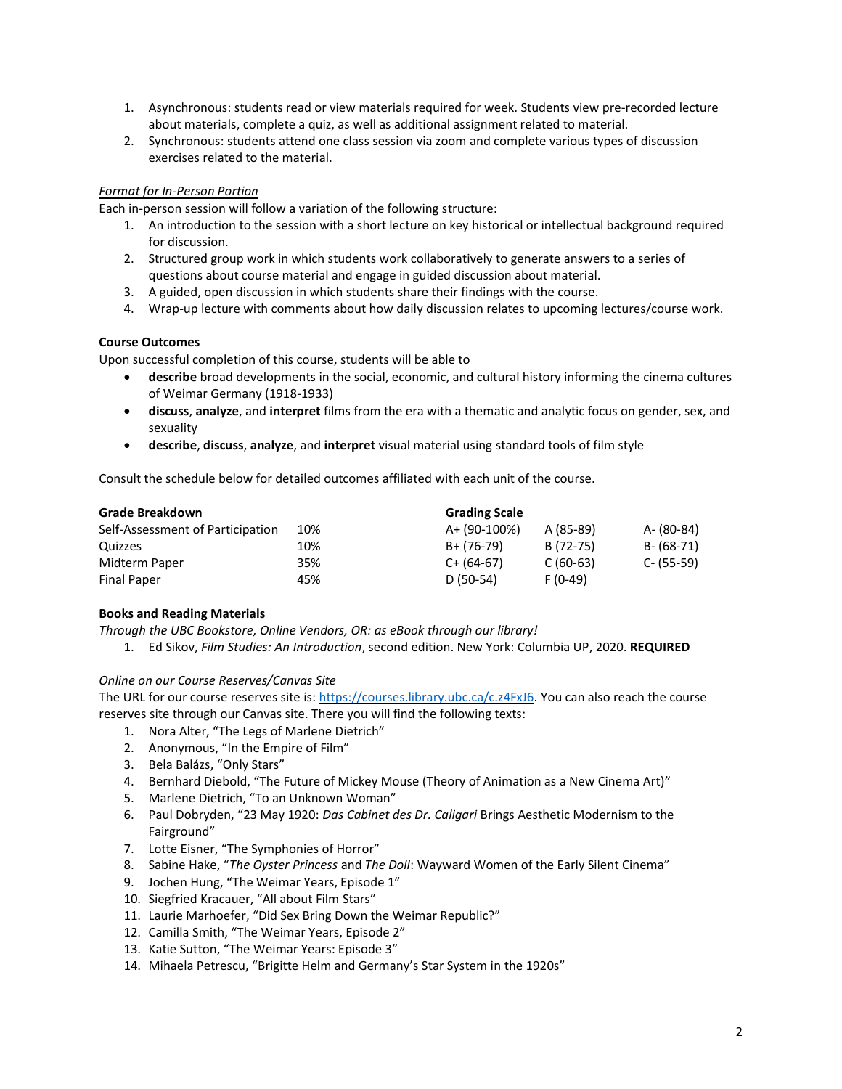- 1. Asynchronous: students read or view materials required for week. Students view pre-recorded lecture about materials, complete a quiz, as well as additional assignment related to material.
- 2. Synchronous: students attend one class session via zoom and complete various types of discussion exercises related to the material.

# *Format for In-Person Portion*

Each in-person session will follow a variation of the following structure:

- 1. An introduction to the session with a short lecture on key historical or intellectual background required for discussion.
- 2. Structured group work in which students work collaboratively to generate answers to a series of questions about course material and engage in guided discussion about material.
- 3. A guided, open discussion in which students share their findings with the course.
- 4. Wrap-up lecture with comments about how daily discussion relates to upcoming lectures/course work.

### **Course Outcomes**

Upon successful completion of this course, students will be able to

- **describe** broad developments in the social, economic, and cultural history informing the cinema cultures of Weimar Germany (1918-1933)
- **discuss**, **analyze**, and **interpret** films from the era with a thematic and analytic focus on gender, sex, and sexuality
- **describe**, **discuss**, **analyze**, and **interpret** visual material using standard tools of film style

Consult the schedule below for detailed outcomes affiliated with each unit of the course.

| <b>Grade Breakdown</b>           |     | <b>Grading Scale</b> |            |            |
|----------------------------------|-----|----------------------|------------|------------|
| Self-Assessment of Participation | 10% | A+ (90-100%)         | A (85-89)  | A- (80-84) |
| Quizzes                          | 10% | B+ (76-79)           | B (72-75)  | B- (68-71) |
| Midterm Paper                    | 35% | $C+ (64-67)$         | $C(60-63)$ | C- (55-59) |
| <b>Final Paper</b>               | 45% | $D(50-54)$           | $F(0-49)$  |            |

# **Books and Reading Materials**

*Through the UBC Bookstore, Online Vendors, OR: as eBook through our library!*

1. Ed Sikov, *Film Studies: An Introduction*, second edition. New York: Columbia UP, 2020. **REQUIRED**

# *Online on our Course Reserves/Canvas Site*

The URL for our course reserves site is: [https://courses.library.ubc.ca/c.z4FxJ6.](https://courses.library.ubc.ca/c.z4FxJ6) You can also reach the course reserves site through our Canvas site. There you will find the following texts:

- 1. Nora Alter, "The Legs of Marlene Dietrich"
- 2. Anonymous, "In the Empire of Film"
- 3. Bela Balázs, "Only Stars"
- 4. Bernhard Diebold, "The Future of Mickey Mouse (Theory of Animation as a New Cinema Art)"
- 5. Marlene Dietrich, "To an Unknown Woman"
- 6. Paul Dobryden, "23 May 1920: *Das Cabinet des Dr. Caligari* Brings Aesthetic Modernism to the Fairground"
- 7. Lotte Eisner, "The Symphonies of Horror"
- 8. Sabine Hake, "*The Oyster Princess* and *The Doll*: Wayward Women of the Early Silent Cinema"
- 9. Jochen Hung, "The Weimar Years, Episode 1"
- 10. Siegfried Kracauer, "All about Film Stars"
- 11. Laurie Marhoefer, "Did Sex Bring Down the Weimar Republic?"
- 12. Camilla Smith, "The Weimar Years, Episode 2"
- 13. Katie Sutton, "The Weimar Years: Episode 3"
- 14. Mihaela Petrescu, "Brigitte Helm and Germany's Star System in the 1920s"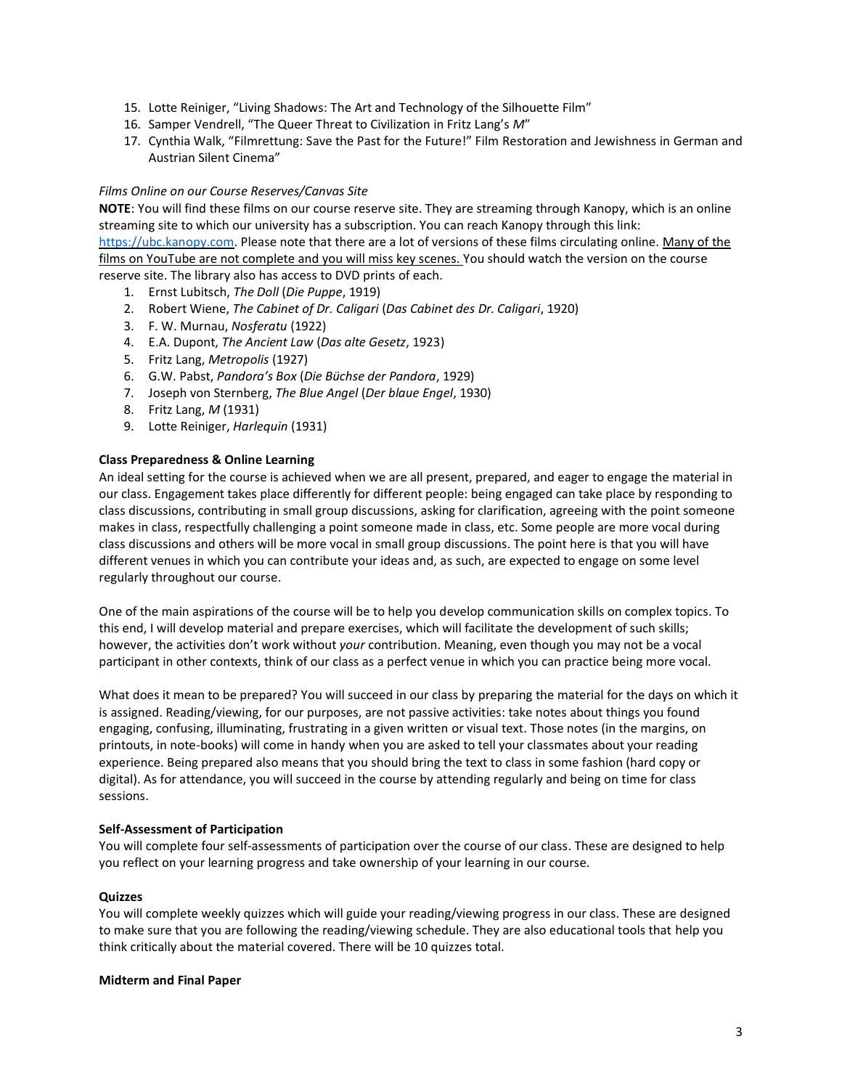- 15. Lotte Reiniger, "Living Shadows: The Art and Technology of the Silhouette Film"
- 16. Samper Vendrell, "The Queer Threat to Civilization in Fritz Lang's *M*"
- 17. Cynthia Walk, "Filmrettung: Save the Past for the Future!" Film Restoration and Jewishness in German and Austrian Silent Cinema"

#### *Films Online on our Course Reserves/Canvas Site*

**NOTE**: You will find these films on our course reserve site. They are streaming through Kanopy, which is an online streaming site to which our university has a subscription. You can reach Kanopy through this link: [https://ubc.kanopy.com.](https://ubc.kanopy.com/) Please note that there are a lot of versions of these films circulating online. Many of the films on YouTube are not complete and you will miss key scenes. You should watch the version on the course reserve site. The library also has access to DVD prints of each.

- 1. Ernst Lubitsch, *The Doll* (*Die Puppe*, 1919)
- 2. Robert Wiene, *The Cabinet of Dr. Caligari* (*Das Cabinet des Dr. Caligari*, 1920)
- 3. F. W. Murnau, *Nosferatu* (1922)
- 4. E.A. Dupont, *The Ancient Law* (*Das alte Gesetz*, 1923)
- 5. Fritz Lang, *Metropolis* (1927)
- 6. G.W. Pabst, *Pandora's Box* (*Die Büchse der Pandora*, 1929)
- 7. Joseph von Sternberg, *The Blue Angel* (*Der blaue Engel*, 1930)
- 8. Fritz Lang, *M* (1931)
- 9. Lotte Reiniger, *Harlequin* (1931)

#### **Class Preparedness & Online Learning**

An ideal setting for the course is achieved when we are all present, prepared, and eager to engage the material in our class. Engagement takes place differently for different people: being engaged can take place by responding to class discussions, contributing in small group discussions, asking for clarification, agreeing with the point someone makes in class, respectfully challenging a point someone made in class, etc. Some people are more vocal during class discussions and others will be more vocal in small group discussions. The point here is that you will have different venues in which you can contribute your ideas and, as such, are expected to engage on some level regularly throughout our course.

One of the main aspirations of the course will be to help you develop communication skills on complex topics. To this end, I will develop material and prepare exercises, which will facilitate the development of such skills; however, the activities don't work without *your* contribution. Meaning, even though you may not be a vocal participant in other contexts, think of our class as a perfect venue in which you can practice being more vocal.

What does it mean to be prepared? You will succeed in our class by preparing the material for the days on which it is assigned. Reading/viewing, for our purposes, are not passive activities: take notes about things you found engaging, confusing, illuminating, frustrating in a given written or visual text. Those notes (in the margins, on printouts, in note-books) will come in handy when you are asked to tell your classmates about your reading experience. Being prepared also means that you should bring the text to class in some fashion (hard copy or digital). As for attendance, you will succeed in the course by attending regularly and being on time for class sessions.

#### **Self-Assessment of Participation**

You will complete four self-assessments of participation over the course of our class. These are designed to help you reflect on your learning progress and take ownership of your learning in our course.

#### **Quizzes**

You will complete weekly quizzes which will guide your reading/viewing progress in our class. These are designed to make sure that you are following the reading/viewing schedule. They are also educational tools that help you think critically about the material covered. There will be 10 quizzes total.

#### **Midterm and Final Paper**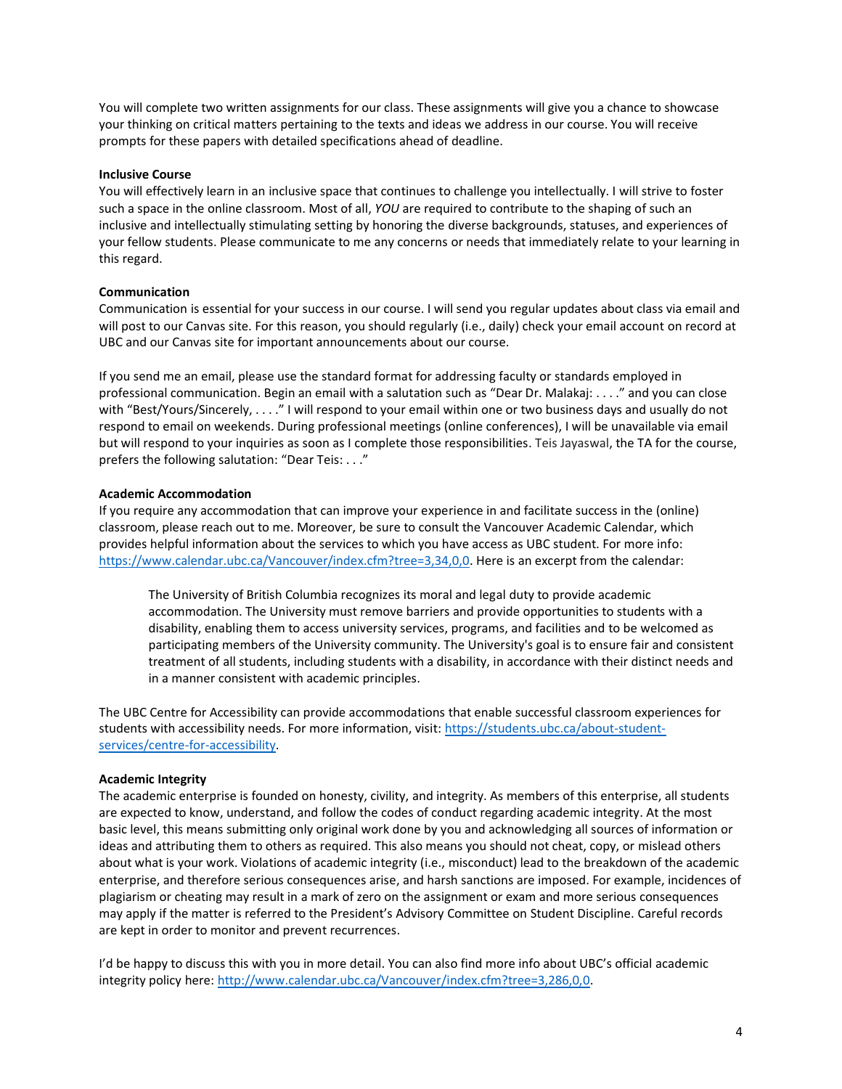You will complete two written assignments for our class. These assignments will give you a chance to showcase your thinking on critical matters pertaining to the texts and ideas we address in our course. You will receive prompts for these papers with detailed specifications ahead of deadline.

### **Inclusive Course**

You will effectively learn in an inclusive space that continues to challenge you intellectually. I will strive to foster such a space in the online classroom. Most of all, *YOU* are required to contribute to the shaping of such an inclusive and intellectually stimulating setting by honoring the diverse backgrounds, statuses, and experiences of your fellow students. Please communicate to me any concerns or needs that immediately relate to your learning in this regard.

### **Communication**

Communication is essential for your success in our course. I will send you regular updates about class via email and will post to our Canvas site. For this reason, you should regularly (i.e., daily) check your email account on record at UBC and our Canvas site for important announcements about our course.

If you send me an email, please use the standard format for addressing faculty or standards employed in professional communication. Begin an email with a salutation such as "Dear Dr. Malakaj: . . . ." and you can close with "Best/Yours/Sincerely, . . . ." I will respond to your email within one or two business days and usually do not respond to email on weekends. During professional meetings (online conferences), I will be unavailable via email but will respond to your inquiries as soon as I complete those responsibilities. Teis Jayaswal, the TA for the course, prefers the following salutation: "Dear Teis: . . ."

### **Academic Accommodation**

If you require any accommodation that can improve your experience in and facilitate success in the (online) classroom, please reach out to me. Moreover, be sure to consult the Vancouver Academic Calendar, which provides helpful information about the services to which you have access as UBC student. For more info: [https://www.calendar.ubc.ca/Vancouver/index.cfm?tree=3,34,0,0.](https://www.calendar.ubc.ca/Vancouver/index.cfm?tree=3,34,0,0) Here is an excerpt from the calendar:

The University of British Columbia recognizes its moral and legal duty to provide academic accommodation. The University must remove barriers and provide opportunities to students with a disability, enabling them to access university services, programs, and facilities and to be welcomed as participating members of the University community. The University's goal is to ensure fair and consistent treatment of all students, including students with a disability, in accordance with their distinct needs and in a manner consistent with academic principles.

The UBC Centre for Accessibility can provide accommodations that enable successful classroom experiences for students with accessibility needs. For more information, visit[: https://students.ubc.ca/about-student](https://students.ubc.ca/about-student-services/centre-for-accessibility)[services/centre-for-accessibility.](https://students.ubc.ca/about-student-services/centre-for-accessibility)

# **Academic Integrity**

The academic enterprise is founded on honesty, civility, and integrity. As members of this enterprise, all students are expected to know, understand, and follow the codes of conduct regarding academic integrity. At the most basic level, this means submitting only original work done by you and acknowledging all sources of information or ideas and attributing them to others as required. This also means you should not cheat, copy, or mislead others about what is your work. Violations of academic integrity (i.e., misconduct) lead to the breakdown of the academic enterprise, and therefore serious consequences arise, and harsh sanctions are imposed. For example, incidences of plagiarism or cheating may result in a mark of zero on the assignment or exam and more serious consequences may apply if the matter is referred to the President's Advisory Committee on Student Discipline. Careful records are kept in order to monitor and prevent recurrences.

I'd be happy to discuss this with you in more detail. You can also find more info about UBC's official academic integrity policy here: [http://www.calendar.ubc.ca/Vancouver/index.cfm?tree=3,286,0,0.](http://www.calendar.ubc.ca/Vancouver/index.cfm?tree=3,286,0,0)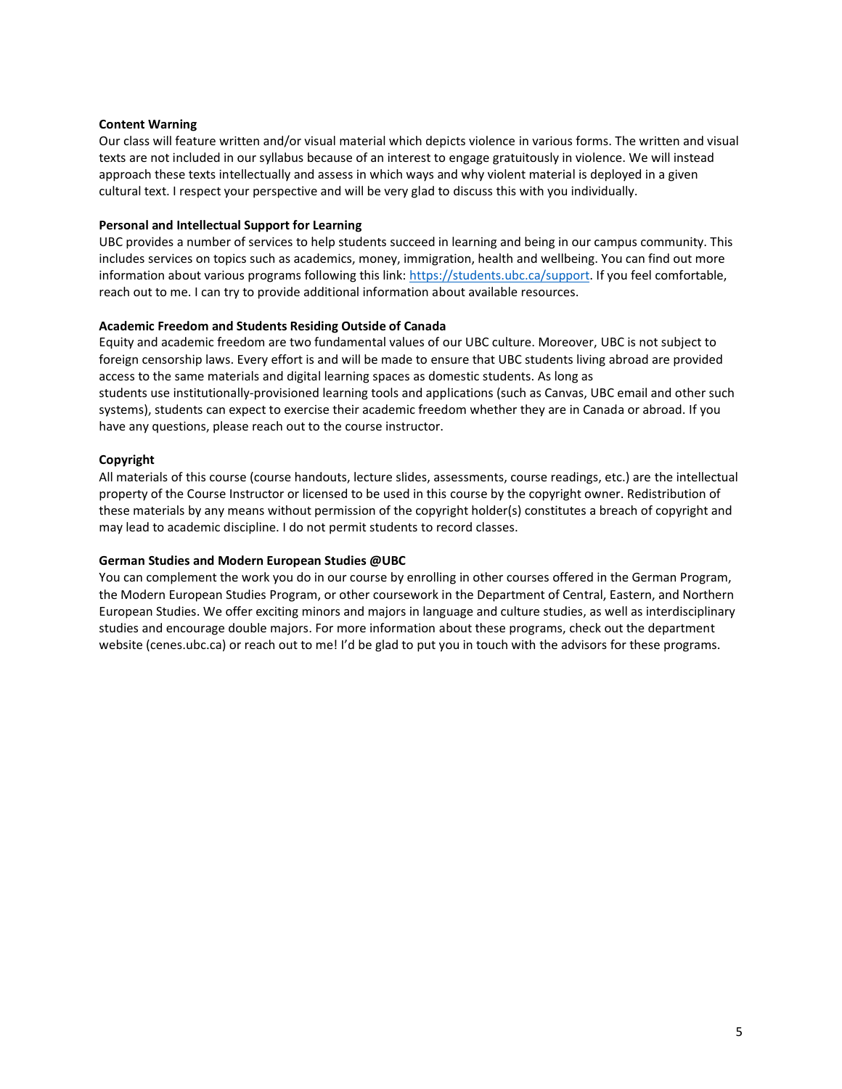### **Content Warning**

Our class will feature written and/or visual material which depicts violence in various forms. The written and visual texts are not included in our syllabus because of an interest to engage gratuitously in violence. We will instead approach these texts intellectually and assess in which ways and why violent material is deployed in a given cultural text. I respect your perspective and will be very glad to discuss this with you individually.

### **Personal and Intellectual Support for Learning**

UBC provides a number of services to help students succeed in learning and being in our campus community. This includes services on topics such as academics, money, immigration, health and wellbeing. You can find out more information about various programs following this link: [https://students.ubc.ca/support.](https://students.ubc.ca/support) If you feel comfortable, reach out to me. I can try to provide additional information about available resources.

### **Academic Freedom and Students Residing Outside of Canada**

Equity and academic freedom are two fundamental values of our UBC culture. Moreover, UBC is not subject to foreign censorship laws. Every effort is and will be made to ensure that UBC students living abroad are provided access to the same materials and digital learning spaces as domestic students. As long as students use institutionally-provisioned learning tools and applications (such as Canvas, UBC email and other such systems), students can expect to exercise their academic freedom whether they are in Canada or abroad. If you have any questions, please reach out to the course instructor.

### **Copyright**

All materials of this course (course handouts, lecture slides, assessments, course readings, etc.) are the intellectual property of the Course Instructor or licensed to be used in this course by the copyright owner. Redistribution of these materials by any means without permission of the copyright holder(s) constitutes a breach of copyright and may lead to academic discipline. I do not permit students to record classes.

# **German Studies and Modern European Studies @UBC**

You can complement the work you do in our course by enrolling in other courses offered in the German Program, the Modern European Studies Program, or other coursework in the Department of Central, Eastern, and Northern European Studies. We offer exciting minors and majors in language and culture studies, as well as interdisciplinary studies and encourage double majors. For more information about these programs, check out the department website (cenes.ubc.ca) or reach out to me! I'd be glad to put you in touch with the advisors for these programs.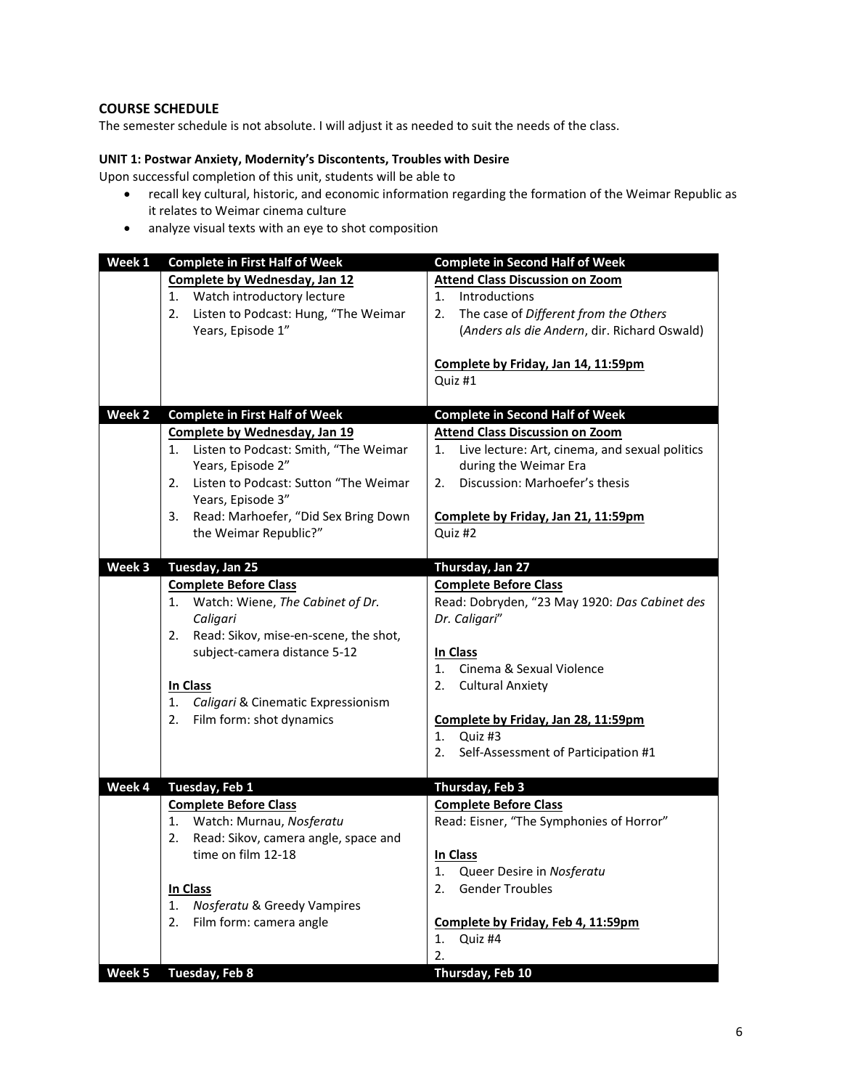# **COURSE SCHEDULE**

The semester schedule is not absolute. I will adjust it as needed to suit the needs of the class.

# **UNIT 1: Postwar Anxiety, Modernity's Discontents, Troubles with Desire**

Upon successful completion of this unit, students will be able to

- recall key cultural, historic, and economic information regarding the formation of the Weimar Republic as it relates to Weimar cinema culture
- analyze visual texts with an eye to shot composition

| Week 1 | <b>Complete in First Half of Week</b>       | <b>Complete in Second Half of Week</b>               |
|--------|---------------------------------------------|------------------------------------------------------|
|        | Complete by Wednesday, Jan 12               | <b>Attend Class Discussion on Zoom</b>               |
|        | Watch introductory lecture<br>1.            | 1.<br><b>Introductions</b>                           |
|        | Listen to Podcast: Hung, "The Weimar<br>2.  | The case of Different from the Others<br>2.          |
|        | Years, Episode 1"                           | (Anders als die Andern, dir. Richard Oswald)         |
|        |                                             |                                                      |
|        |                                             | Complete by Friday, Jan 14, 11:59pm                  |
|        |                                             | Quiz #1                                              |
|        |                                             |                                                      |
| Week 2 | <b>Complete in First Half of Week</b>       | <b>Complete in Second Half of Week</b>               |
|        | Complete by Wednesday, Jan 19               | <b>Attend Class Discussion on Zoom</b>               |
|        | Listen to Podcast: Smith, "The Weimar<br>1. | Live lecture: Art, cinema, and sexual politics<br>1. |
|        | Years, Episode 2"                           | during the Weimar Era                                |
|        | Listen to Podcast: Sutton "The Weimar<br>2. | Discussion: Marhoefer's thesis<br>2.                 |
|        | Years, Episode 3"                           |                                                      |
|        | Read: Marhoefer, "Did Sex Bring Down<br>3.  | Complete by Friday, Jan 21, 11:59pm                  |
|        | the Weimar Republic?"                       | Quiz #2                                              |
|        |                                             |                                                      |
| Week 3 | Tuesday, Jan 25                             | Thursday, Jan 27                                     |
|        | <b>Complete Before Class</b>                | <b>Complete Before Class</b>                         |
|        | Watch: Wiene, The Cabinet of Dr.<br>1.      | Read: Dobryden, "23 May 1920: Das Cabinet des        |
|        | Caligari                                    | Dr. Caligari"                                        |
|        | Read: Sikov, mise-en-scene, the shot,<br>2. |                                                      |
|        | subject-camera distance 5-12                | In Class                                             |
|        |                                             | Cinema & Sexual Violence<br>1.                       |
|        | In Class                                    | <b>Cultural Anxiety</b><br>2.                        |
|        | Caligari & Cinematic Expressionism<br>1.    |                                                      |
|        | Film form: shot dynamics<br>2.              | Complete by Friday, Jan 28, 11:59pm                  |
|        |                                             | 1. Quiz #3                                           |
|        |                                             | Self-Assessment of Participation #1<br>2.            |
|        |                                             |                                                      |
| Week 4 | Tuesday, Feb 1                              | <b>Thursday, Feb 3</b>                               |
|        | <b>Complete Before Class</b>                | <b>Complete Before Class</b>                         |
|        | 1. Watch: Murnau, Nosferatu                 | Read: Eisner, "The Symphonies of Horror"             |
|        | Read: Sikov, camera angle, space and<br>2.  |                                                      |
|        | time on film 12-18                          | <b>In Class</b>                                      |
|        |                                             | Queer Desire in Nosferatu<br>1.                      |
|        | In Class                                    | <b>Gender Troubles</b><br>2.                         |
|        | Nosferatu & Greedy Vampires                 |                                                      |
|        | 1.<br>2.                                    |                                                      |
|        | Film form: camera angle                     | Complete by Friday, Feb 4, 11:59pm                   |
|        |                                             | Quiz #4<br>1.                                        |
|        |                                             | 2.                                                   |
| Week 5 | Tuesday, Feb 8                              | Thursday, Feb 10                                     |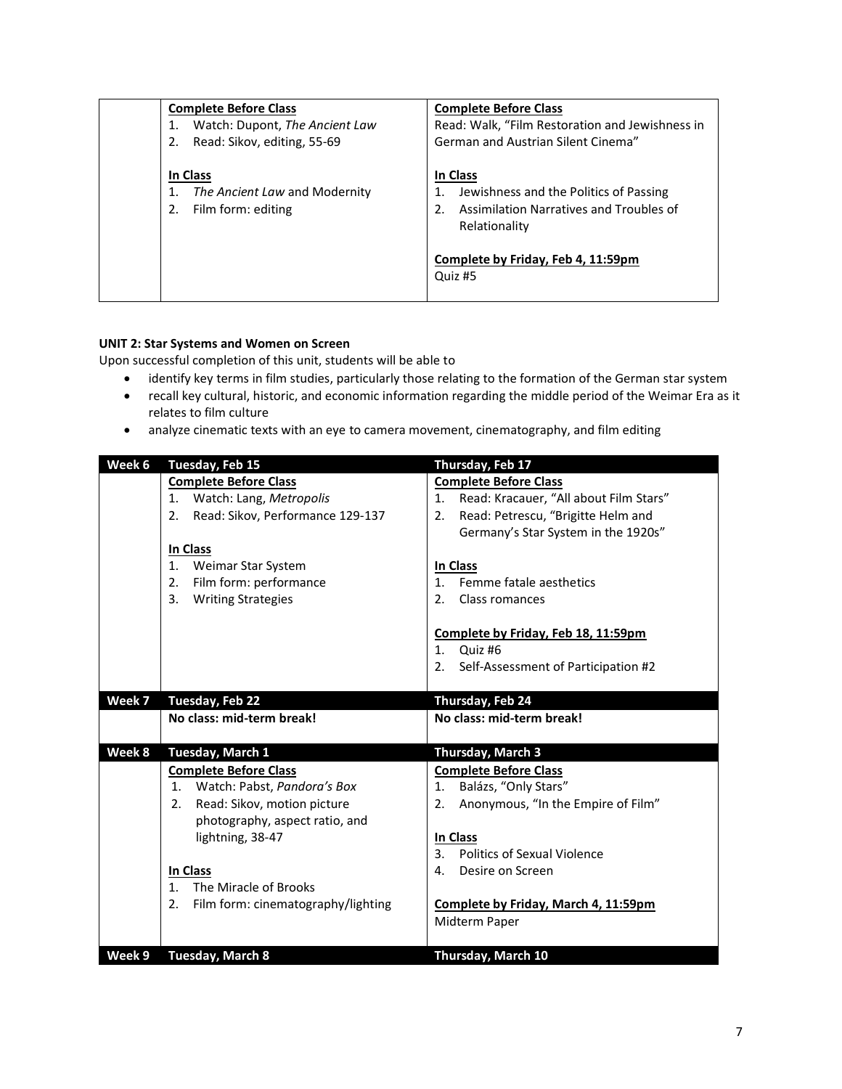| <b>Complete Before Class</b>                                    | <b>Complete Before Class</b>                                                                                         |
|-----------------------------------------------------------------|----------------------------------------------------------------------------------------------------------------------|
| Watch: Dupont, The Ancient Law                                  | Read: Walk, "Film Restoration and Jewishness in                                                                      |
| Read: Sikov, editing, 55-69<br>2.                               | German and Austrian Silent Cinema"                                                                                   |
| In Class<br>The Ancient Law and Modernity<br>Film form: editing | In Class<br>Jewishness and the Politics of Passing<br>Assimilation Narratives and Troubles of<br>2.<br>Relationality |
|                                                                 | Complete by Friday, Feb 4, 11:59pm<br>Quiz #5                                                                        |

# **UNIT 2: Star Systems and Women on Screen**

Upon successful completion of this unit, students will be able to

- identify key terms in film studies, particularly those relating to the formation of the German star system
- recall key cultural, historic, and economic information regarding the middle period of the Weimar Era as it relates to film culture
- analyze cinematic texts with an eye to camera movement, cinematography, and film editing

| Week 6 | Tuesday, Feb 15                          | Thursday, Feb 17                                     |
|--------|------------------------------------------|------------------------------------------------------|
|        | <b>Complete Before Class</b>             | <b>Complete Before Class</b>                         |
|        | Watch: Lang, Metropolis<br>1.            | Read: Kracauer, "All about Film Stars"<br>1.         |
|        | Read: Sikov, Performance 129-137<br>2.   | Read: Petrescu, "Brigitte Helm and<br>2.             |
|        |                                          | Germany's Star System in the 1920s"                  |
|        | In Class                                 |                                                      |
|        | Weimar Star System<br>1.                 | In Class                                             |
|        | Film form: performance<br>2.             | Femme fatale aesthetics<br>$\mathbf{1}$              |
|        | <b>Writing Strategies</b><br>3.          | 2.<br>Class romances                                 |
|        |                                          |                                                      |
|        |                                          | Complete by Friday, Feb 18, 11:59pm                  |
|        |                                          | 1 <sub>1</sub><br>Quiz #6                            |
|        |                                          | Self-Assessment of Participation #2<br>2.            |
|        |                                          |                                                      |
| Week 7 | Tuesday, Feb 22                          | Thursday, Feb 24                                     |
|        | No class: mid-term break!                | No class: mid-term break!                            |
|        |                                          |                                                      |
| Week 8 | Tuesday, March 1                         | Thursday, March 3                                    |
|        | <b>Complete Before Class</b>             | <b>Complete Before Class</b>                         |
|        |                                          |                                                      |
|        | 1. Watch: Pabst, Pandora's Box           | Balázs, "Only Stars"<br>1.                           |
|        | Read: Sikov, motion picture<br>2.        | Anonymous, "In the Empire of Film"<br>2.             |
|        | photography, aspect ratio, and           |                                                      |
|        | lightning, 38-47                         | In Class                                             |
|        |                                          | 3 <sub>1</sub><br><b>Politics of Sexual Violence</b> |
|        | In Class                                 | Desire on Screen<br>4.                               |
|        | The Miracle of Brooks<br>$\mathbf{1}$    |                                                      |
|        | Film form: cinematography/lighting<br>2. | Complete by Friday, March 4, 11:59pm                 |
|        |                                          | Midterm Paper                                        |
|        |                                          |                                                      |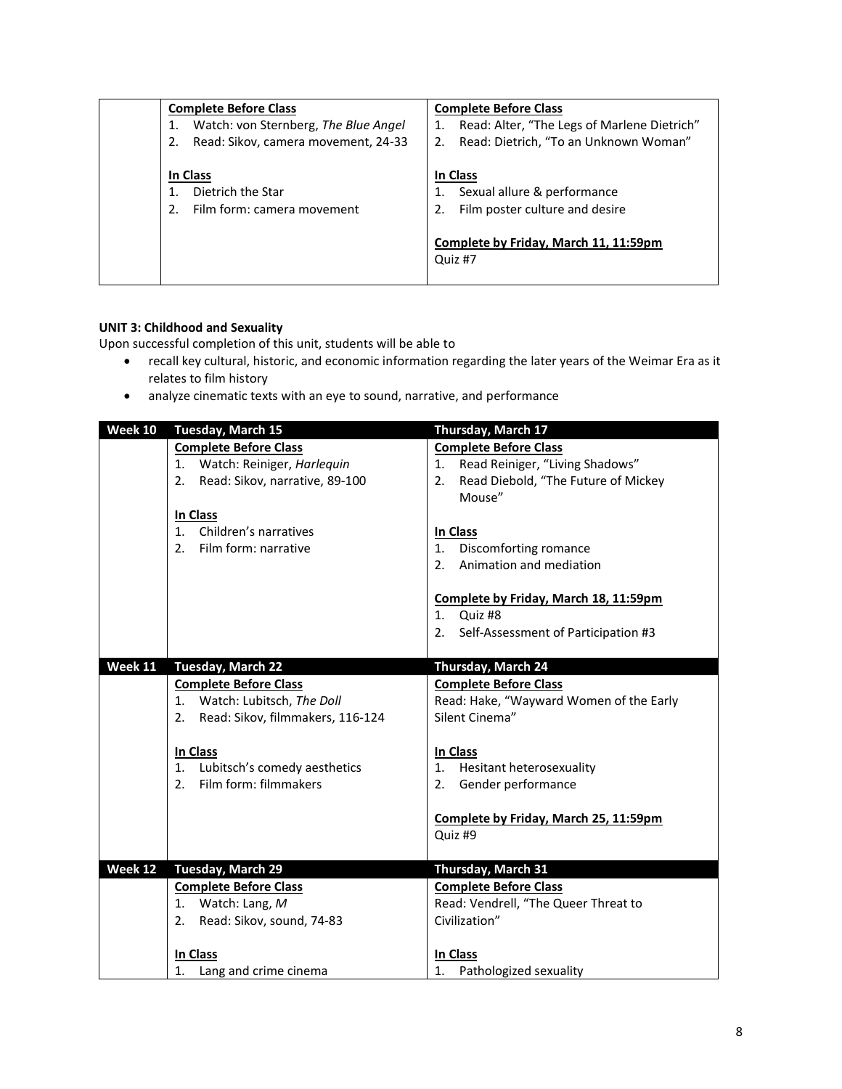| <b>Complete Before Class</b>         | <b>Complete Before Class</b>                |
|--------------------------------------|---------------------------------------------|
| Watch: von Sternberg, The Blue Angel | Read: Alter, "The Legs of Marlene Dietrich" |
| Read: Sikov, camera movement, 24-33  | Read: Dietrich, "To an Unknown Woman"<br>2. |
|                                      |                                             |
| In Class                             | In Class                                    |
| Dietrich the Star                    | Sexual allure & performance                 |
| Film form: camera movement           | Film poster culture and desire<br>2.        |
|                                      |                                             |
|                                      | Complete by Friday, March 11, 11:59pm       |
|                                      | Quiz #7                                     |
|                                      |                                             |

# **UNIT 3: Childhood and Sexuality**

Upon successful completion of this unit, students will be able to

- recall key cultural, historic, and economic information regarding the later years of the Weimar Era as it relates to film history
- analyze cinematic texts with an eye to sound, narrative, and performance

| Week 10 | Tuesday, March 15                       | Thursday, March 17                        |
|---------|-----------------------------------------|-------------------------------------------|
|         | <b>Complete Before Class</b>            | <b>Complete Before Class</b>              |
|         | 1. Watch: Reiniger, Harlequin           | Read Reiniger, "Living Shadows"<br>1.     |
|         | Read: Sikov, narrative, 89-100<br>2.    | Read Diebold, "The Future of Mickey<br>2. |
|         |                                         | Mouse"                                    |
|         | In Class                                |                                           |
|         | 1 <sup>1</sup><br>Children's narratives | In Class                                  |
|         | Film form: narrative<br>2 <sub>1</sub>  | Discomforting romance<br>1.               |
|         |                                         | Animation and mediation<br>2.             |
|         |                                         | Complete by Friday, March 18, 11:59pm     |
|         |                                         | Quiz #8<br>$1_{-}$                        |
|         |                                         | Self-Assessment of Participation #3<br>2. |
|         |                                         |                                           |
| Week 11 | <b>Tuesday, March 22</b>                | Thursday, March 24                        |
|         | <b>Complete Before Class</b>            | <b>Complete Before Class</b>              |
|         | 1. Watch: Lubitsch, The Doll            | Read: Hake, "Wayward Women of the Early   |
|         | Read: Sikov, filmmakers, 116-124<br>2.  | Silent Cinema"                            |
|         | In Class                                | In Class                                  |
|         | Lubitsch's comedy aesthetics<br>$1_{-}$ | Hesitant heterosexuality<br>1.            |
|         | Film form: filmmakers<br>2 <sub>1</sub> | 2. Gender performance                     |
|         |                                         |                                           |
|         |                                         | Complete by Friday, March 25, 11:59pm     |
|         |                                         | Quiz #9                                   |
|         |                                         |                                           |
| Week 12 | <b>Tuesday, March 29</b>                | Thursday, March 31                        |
|         | <b>Complete Before Class</b>            | <b>Complete Before Class</b>              |
|         | 1. Watch: Lang, M                       | Read: Vendrell, "The Queer Threat to      |
|         | Read: Sikov, sound, 74-83<br>2.         | Civilization"                             |
|         |                                         |                                           |
|         | In Class                                | In Class                                  |
|         | 1. Lang and crime cinema                | 1.<br>Pathologized sexuality              |